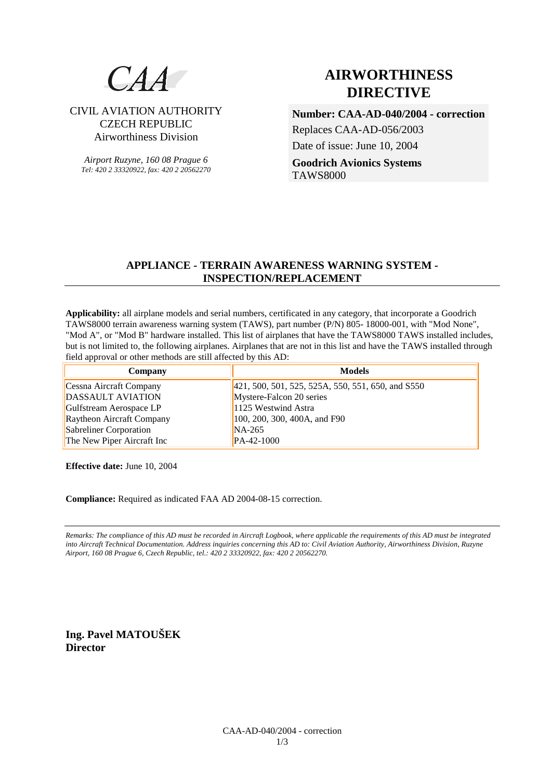# $CAA$

## CIVIL AVIATION AUTHORITY CZECH REPUBLIC Airworthiness Division

*Airport Ruzyne, 160 08 Prague 6 Tel: 420 2 33320922, fax: 420 2 20562270*

# **AIRWORTHINESS DIRECTIVE**

**Number: CAA-AD-040/2004 - correction**  Replaces CAA-AD-056/2003 Date of issue: June 10, 2004 **Goodrich Avionics Systems**  TAWS8000

### **APPLIANCE - TERRAIN AWARENESS WARNING SYSTEM - INSPECTION/REPLACEMENT**

**Applicability:** all airplane models and serial numbers, certificated in any category, that incorporate a Goodrich TAWS8000 terrain awareness warning system (TAWS), part number (P/N) 805- 18000-001, with "Mod None", "Mod A", or "Mod B" hardware installed. This list of airplanes that have the TAWS8000 TAWS installed includes, but is not limited to, the following airplanes. Airplanes that are not in this list and have the TAWS installed through field approval or other methods are still affected by this AD:

| Company                    | <b>Models</b>                                         |
|----------------------------|-------------------------------------------------------|
| Cessna Aircraft Company    | $[421, 500, 501, 525, 525A, 550, 551, 650, and S550]$ |
| <b>DASSAULT AVIATION</b>   | Mystere-Falcon 20 series                              |
| Gulfstream Aerospace LP    | 1125 Westwind Astra                                   |
| Raytheon Aircraft Company  | 100, 200, 300, 400A, and F90                          |
| Sabreliner Corporation     | $NA-265$                                              |
| The New Piper Aircraft Inc | PA-42-1000                                            |

**Effective date:** June 10, 2004

**Compliance:** Required as indicated FAA AD 2004-08-15 correction.

*Remarks: The compliance of this AD must be recorded in Aircraft Logbook, where applicable the requirements of this AD must be integrated into Aircraft Technical Documentation. Address inquiries concerning this AD to: Civil Aviation Authority, Airworthiness Division, Ruzyne Airport, 160 08 Prague 6, Czech Republic, tel.: 420 2 33320922, fax: 420 2 20562270.* 

**Ing. Pavel MATOUŠEK Director**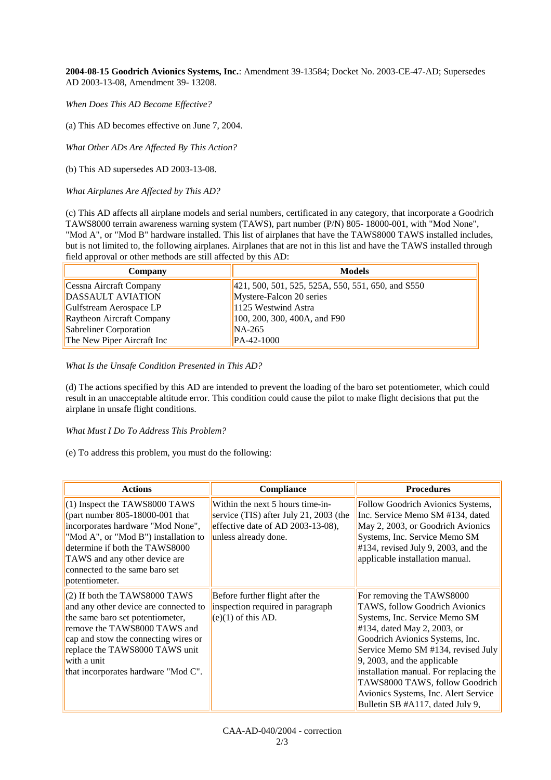**2004-08-15 Goodrich Avionics Systems, Inc.**: Amendment 39-13584; Docket No. 2003-CE-47-AD; Supersedes AD 2003-13-08, Amendment 39- 13208.

*When Does This AD Become Effective?* 

(a) This AD becomes effective on June 7, 2004.

*What Other ADs Are Affected By This Action?* 

(b) This AD supersedes AD 2003-13-08.

*What Airplanes Are Affected by This AD?* 

(c) This AD affects all airplane models and serial numbers, certificated in any category, that incorporate a Goodrich TAWS8000 terrain awareness warning system (TAWS), part number (P/N) 805- 18000-001, with "Mod None", "Mod A", or "Mod B" hardware installed. This list of airplanes that have the TAWS8000 TAWS installed includes, but is not limited to, the following airplanes. Airplanes that are not in this list and have the TAWS installed through field approval or other methods are still affected by this AD:

| Company                    | <b>Models</b>                                     |  |
|----------------------------|---------------------------------------------------|--|
| Cessna Aircraft Company    | 421, 500, 501, 525, 525A, 550, 551, 650, and S550 |  |
| DASSAULT AVIATION          | Mystere-Falcon 20 series                          |  |
| Gulfstream Aerospace LP    | 1125 Westwind Astra                               |  |
| Raytheon Aircraft Company  | 100, 200, 300, 400A, and F90                      |  |
| Sabreliner Corporation     | $NA-265$                                          |  |
| The New Piper Aircraft Inc | PA-42-1000                                        |  |

*What Is the Unsafe Condition Presented in This AD?* 

(d) The actions specified by this AD are intended to prevent the loading of the baro set potentiometer, which could result in an unacceptable altitude error. This condition could cause the pilot to make flight decisions that put the airplane in unsafe flight conditions.

#### *What Must I Do To Address This Problem?*

(e) To address this problem, you must do the following:

| <b>Actions</b>                                                                                                                                                                                                                                                               | <b>Compliance</b>                                                                                                                       | <b>Procedures</b>                                                                                                                                                                                                                                                                                                                                                                                      |
|------------------------------------------------------------------------------------------------------------------------------------------------------------------------------------------------------------------------------------------------------------------------------|-----------------------------------------------------------------------------------------------------------------------------------------|--------------------------------------------------------------------------------------------------------------------------------------------------------------------------------------------------------------------------------------------------------------------------------------------------------------------------------------------------------------------------------------------------------|
| $(1)$ Inspect the TAWS8000 TAWS<br>(part number $805-18000-001$ that<br>incorporates hardware "Mod None",<br>"Mod A", or "Mod B") installation to<br>determine if both the TAWS8000<br>TAWS and any other device are<br>connected to the same baro set<br>potentiometer.     | Within the next 5 hours time-in-<br>service (TIS) after July 21, 2003 (the<br>effective date of AD 2003-13-08),<br>unless already done. | Follow Goodrich Avionics Systems,<br>Inc. Service Memo SM #134, dated<br>May 2, 2003, or Goodrich Avionics<br>Systems, Inc. Service Memo SM<br>$\#134$ , revised July 9, 2003, and the<br>applicable installation manual.                                                                                                                                                                              |
| $(2)$ If both the TAWS8000 TAWS<br>and any other device are connected to<br>the same baro set potentiometer,<br>remove the TAWS8000 TAWS and<br>cap and stow the connecting wires or<br>replace the TAWS8000 TAWS unit<br>with a unit<br>that incorporates hardware "Mod C". | Before further flight after the<br>inspection required in paragraph<br>$(e)(1)$ of this AD.                                             | For removing the TAWS8000<br>TAWS, follow Goodrich Avionics<br>Systems, Inc. Service Memo SM<br>$#134$ , dated May 2, 2003, or<br>Goodrich Avionics Systems, Inc.<br>Service Memo SM #134, revised July<br>$\vert 9, 2003,$ and the applicable<br>installation manual. For replacing the<br>TAWS8000 TAWS, follow Goodrich<br>Avionics Systems, Inc. Alert Service<br>Bulletin SB #A117, dated July 9, |